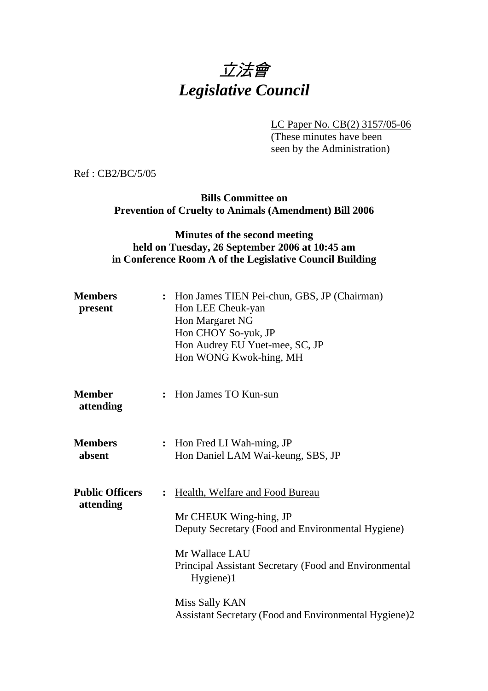

LC Paper No. CB(2) 3157/05-06

(These minutes have been seen by the Administration)

Ref : CB2/BC/5/05

### **Bills Committee on Prevention of Cruelty to Animals (Amendment) Bill 2006**

## **Minutes of the second meeting held on Tuesday, 26 September 2006 at 10:45 am in Conference Room A of the Legislative Council Building**

| <b>Members</b><br>present           | : Hon James TIEN Pei-chun, GBS, JP (Chairman)<br>Hon LEE Cheuk-yan<br>Hon Margaret NG<br>Hon CHOY So-yuk, JP<br>Hon Audrey EU Yuet-mee, SC, JP<br>Hon WONG Kwok-hing, MH                                                                                                                            |
|-------------------------------------|-----------------------------------------------------------------------------------------------------------------------------------------------------------------------------------------------------------------------------------------------------------------------------------------------------|
| <b>Member</b><br>attending          | Hon James TO Kun-sun<br>$\ddot{\cdot}$                                                                                                                                                                                                                                                              |
| <b>Members</b><br>absent            | Hon Fred LI Wah-ming, JP<br>$\ddot{\cdot}$<br>Hon Daniel LAM Wai-keung, SBS, JP                                                                                                                                                                                                                     |
| <b>Public Officers</b><br>attending | Health, Welfare and Food Bureau<br>$\ddot{\cdot}$<br>Mr CHEUK Wing-hing, JP<br>Deputy Secretary (Food and Environmental Hygiene)<br>Mr Wallace LAU<br>Principal Assistant Secretary (Food and Environmental<br>Hygiene)1<br>Miss Sally KAN<br>Assistant Secretary (Food and Environmental Hygiene)2 |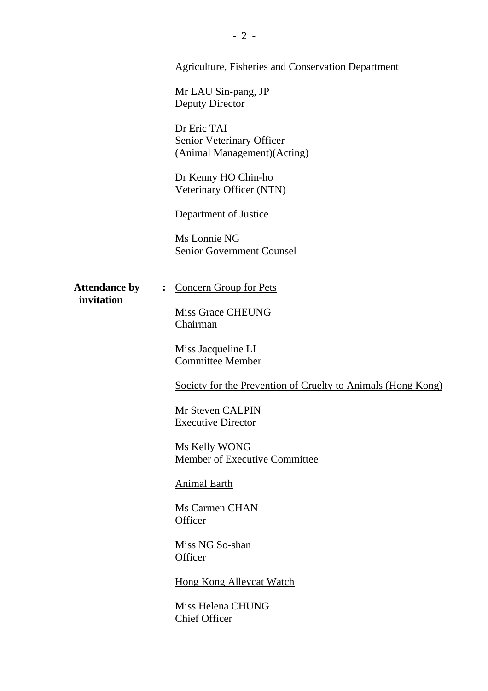#### Agriculture, Fisheries and Conservation Department

Mr LAU Sin-pang, JP Deputy Director

Dr Eric TAI Senior Veterinary Officer (Animal Management)(Acting)

Dr Kenny HO Chin-ho Veterinary Officer (NTN)

Department of Justice

Ms Lonnie NG Senior Government Counsel

 **invitation** 

#### Attendance by : Concern Group for Pets

Miss Grace CHEUNG Chairman

Miss Jacqueline LI Committee Member

Society for the Prevention of Cruelty to Animals (Hong Kong)

Mr Steven CALPIN Executive Director

Ms Kelly WONG Member of Executive Committee

Animal Earth

Ms Carmen CHAN **Officer** 

Miss NG So-shan **Officer** 

Hong Kong Alleycat Watch

Miss Helena CHUNG Chief Officer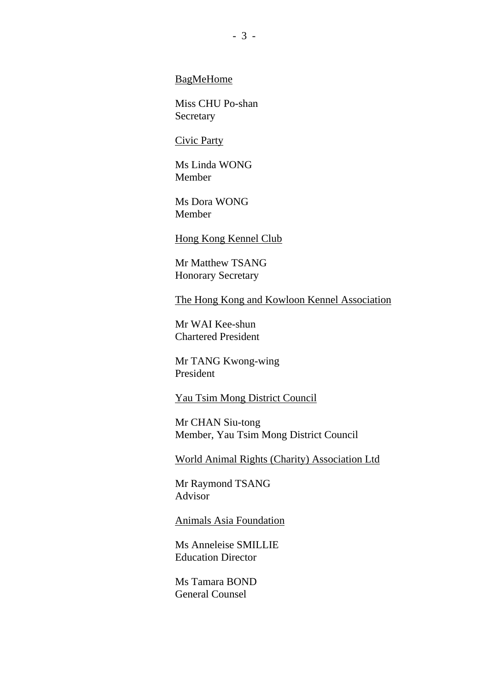BagMeHome

Miss CHU Po-shan Secretary

#### Civic Party

Ms Linda WONG Member

Ms Dora WONG Member

Hong Kong Kennel Club

Mr Matthew TSANG Honorary Secretary

The Hong Kong and Kowloon Kennel Association

Mr WAI Kee-shun Chartered President

Mr TANG Kwong-wing President

Yau Tsim Mong District Council

Mr CHAN Siu-tong Member, Yau Tsim Mong District Council

World Animal Rights (Charity) Association Ltd

Mr Raymond TSANG Advisor

#### Animals Asia Foundation

Ms Anneleise SMILLIE Education Director

Ms Tamara BOND General Counsel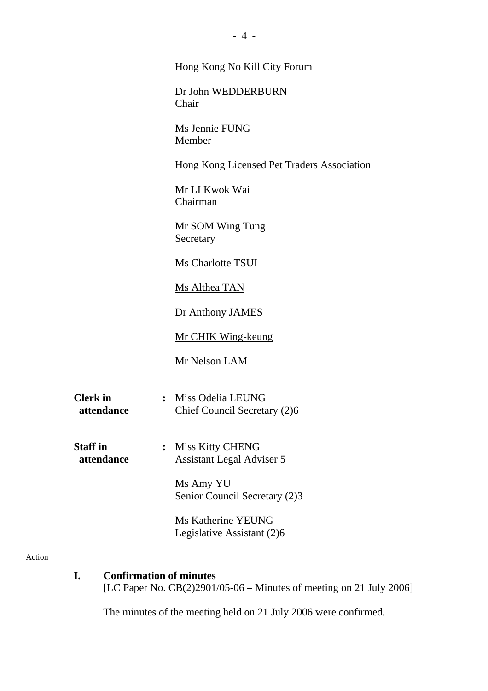|                               | Hong Kong No Kill City Forum                                        |  |
|-------------------------------|---------------------------------------------------------------------|--|
|                               | Dr John WEDDERBURN<br>Chair                                         |  |
|                               | Ms Jennie FUNG<br>Member                                            |  |
|                               | <b>Hong Kong Licensed Pet Traders Association</b>                   |  |
|                               | Mr LI Kwok Wai<br>Chairman                                          |  |
|                               | Mr SOM Wing Tung<br>Secretary                                       |  |
|                               | <b>Ms Charlotte TSUI</b>                                            |  |
|                               | Ms Althea TAN                                                       |  |
|                               | Dr Anthony JAMES                                                    |  |
|                               | <b>Mr CHIK Wing-keung</b>                                           |  |
|                               | <b>Mr Nelson LAM</b>                                                |  |
| <b>Clerk</b> in<br>attendance | Miss Odelia LEUNG<br>$\ddot{\cdot}$<br>Chief Council Secretary (2)6 |  |
| <b>Staff</b> in<br>attendance | Miss Kitty CHENG<br><b>Assistant Legal Adviser 5</b>                |  |
|                               | Ms Amy YU<br>Senior Council Secretary (2)3                          |  |
|                               | Ms Katherine YEUNG<br>Legislative Assistant (2)6                    |  |

#### Action

**I. Confirmation of minutes**  [LC Paper No. CB(2)2901/05-06 – Minutes of meeting on 21 July 2006]

The minutes of the meeting held on 21 July 2006 were confirmed.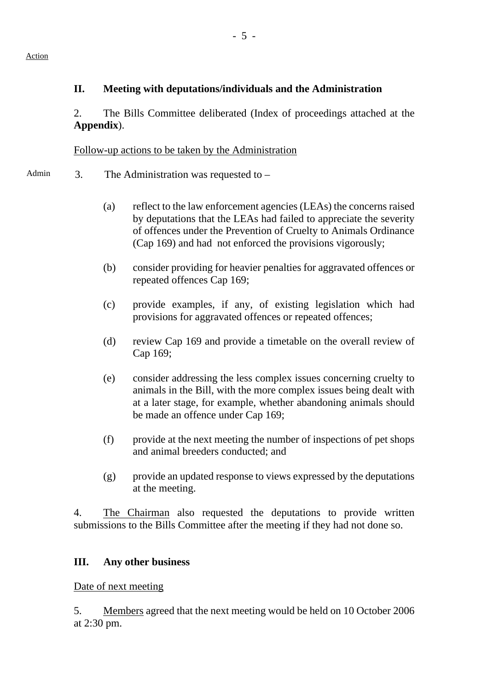# **II. Meeting with deputations/individuals and the Administration**

2. The Bills Committee deliberated (Index of proceedings attached at the **Appendix**).

Follow-up actions to be taken by the Administration

- Admin  $\alpha$  3. The Administration was requested to
	- (a) reflect to the law enforcement agencies (LEAs) the concerns raised by deputations that the LEAs had failed to appreciate the severity of offences under the Prevention of Cruelty to Animals Ordinance (Cap 169) and had not enforced the provisions vigorously;
	- (b) consider providing for heavier penalties for aggravated offences or repeated offences Cap 169;
	- (c) provide examples, if any, of existing legislation which had provisions for aggravated offences or repeated offences;
	- (d) review Cap 169 and provide a timetable on the overall review of Cap 169;
	- (e) consider addressing the less complex issues concerning cruelty to animals in the Bill, with the more complex issues being dealt with at a later stage, for example, whether abandoning animals should be made an offence under Cap 169;
	- (f) provide at the next meeting the number of inspections of pet shops and animal breeders conducted; and
	- (g) provide an updated response to views expressed by the deputations at the meeting.

4. The Chairman also requested the deputations to provide written submissions to the Bills Committee after the meeting if they had not done so.

### **III. Any other business**

Date of next meeting

5. Members agreed that the next meeting would be held on 10 October 2006 at 2:30 pm.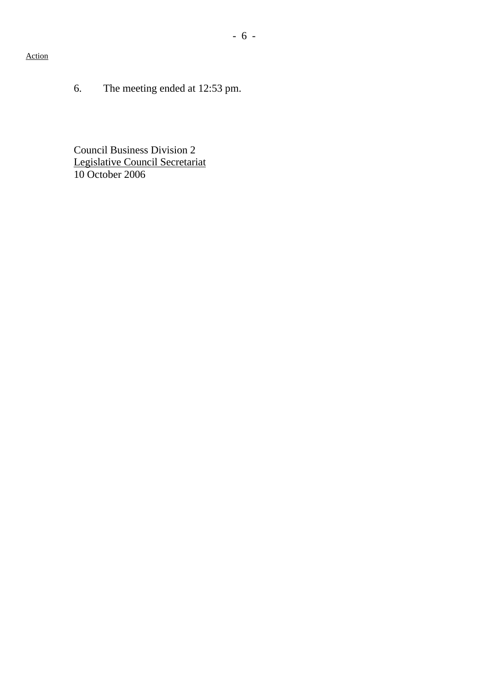### Action

6. The meeting ended at 12:53 pm.

Council Business Division 2 Legislative Council Secretariat 10 October 2006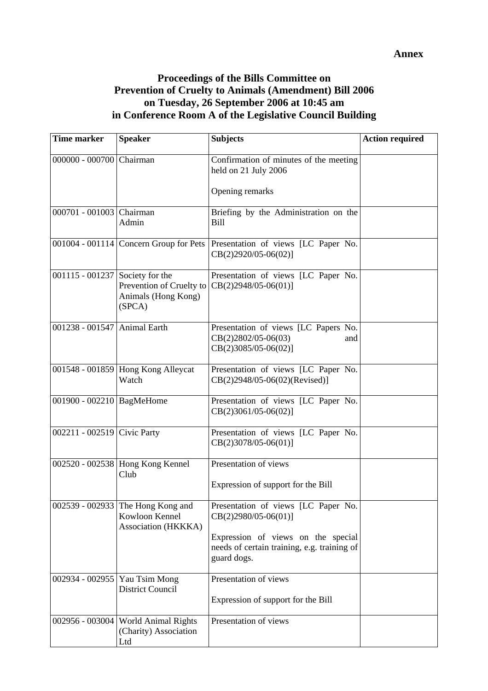# **Proceedings of the Bills Committee on Prevention of Cruelty to Animals (Amendment) Bill 2006 on Tuesday, 26 September 2006 at 10:45 am in Conference Room A of the Legislative Council Building**

| <b>Time marker</b>              | <b>Speaker</b>                                                             | <b>Subjects</b>                                                                                     | <b>Action required</b> |
|---------------------------------|----------------------------------------------------------------------------|-----------------------------------------------------------------------------------------------------|------------------------|
| 000000 - 000700 Chairman        |                                                                            | Confirmation of minutes of the meeting<br>held on 21 July 2006                                      |                        |
|                                 |                                                                            | Opening remarks                                                                                     |                        |
| 000701 - 001003 Chairman        | Admin                                                                      | Briefing by the Administration on the<br><b>Bill</b>                                                |                        |
|                                 | 001004 - 001114 Concern Group for Pets                                     | Presentation of views [LC Paper No.<br>$CB(2)2920/05-06(02)]$                                       |                        |
| 001115 - 001237 Society for the | Prevention of Cruelty to<br>Animals (Hong Kong)<br>(SPCA)                  | Presentation of views [LC Paper No.<br>$CB(2)2948/05-06(01)]$                                       |                        |
| 001238 - 001547 Animal Earth    |                                                                            | Presentation of views [LC Papers No.<br>$CB(2)2802/05-06(03)$<br>and<br>$CB(2)3085/05-06(02)]$      |                        |
|                                 | 001548 - 001859 Hong Kong Alleycat<br>Watch                                | Presentation of views [LC Paper No.<br>CB(2)2948/05-06(02)(Revised)]                                |                        |
| 001900 - 002210   BagMeHome     |                                                                            | Presentation of views [LC Paper No.<br>$CB(2)3061/05-06(02)]$                                       |                        |
| 002211 - 002519 Civic Party     |                                                                            | Presentation of views [LC Paper No.<br>$CB(2)3078/05-06(01)]$                                       |                        |
|                                 | 002520 - 002538 Hong Kong Kennel<br>Club                                   | Presentation of views<br>Expression of support for the Bill                                         |                        |
|                                 | 002539 - 002933 The Hong Kong and<br>Kowloon Kennel<br>Association (HKKKA) | Presentation of views [LC Paper No.<br>$CB(2)2980/05-06(01)]$<br>Expression of views on the special |                        |
|                                 |                                                                            | needs of certain training, e.g. training of<br>guard dogs.                                          |                        |
| 002934 - 002955                 | Yau Tsim Mong<br><b>District Council</b>                                   | Presentation of views<br>Expression of support for the Bill                                         |                        |
| $002956 - 003004$               | <b>World Animal Rights</b><br>(Charity) Association<br>Ltd                 | Presentation of views                                                                               |                        |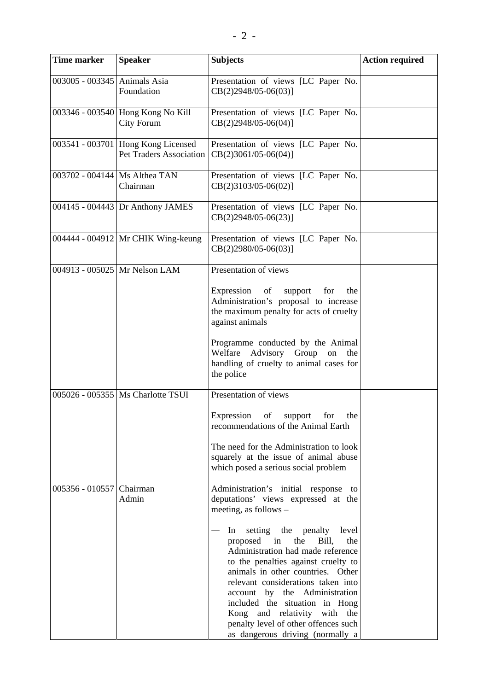| <b>Time marker</b>              | <b>Speaker</b>                                                | <b>Subjects</b>                                                                                                                                                                                                                                                                                                                                                                                                   | <b>Action required</b> |
|---------------------------------|---------------------------------------------------------------|-------------------------------------------------------------------------------------------------------------------------------------------------------------------------------------------------------------------------------------------------------------------------------------------------------------------------------------------------------------------------------------------------------------------|------------------------|
| 003005 - 003345 Animals Asia    | Foundation                                                    | Presentation of views [LC Paper No.<br>$CB(2)2948/05-06(03)$ ]                                                                                                                                                                                                                                                                                                                                                    |                        |
|                                 | 003346 - 003540 Hong Kong No Kill<br>City Forum               | Presentation of views [LC Paper No.<br>$CB(2)2948/05-06(04)]$                                                                                                                                                                                                                                                                                                                                                     |                        |
|                                 | 003541 - 003701 Hong Kong Licensed<br>Pet Traders Association | Presentation of views [LC Paper No.<br>$CB(2)3061/05-06(04)]$                                                                                                                                                                                                                                                                                                                                                     |                        |
| 003702 - 004144   Ms Althea TAN | Chairman                                                      | Presentation of views [LC Paper No.<br>$CB(2)3103/05-06(02)$ ]                                                                                                                                                                                                                                                                                                                                                    |                        |
|                                 | 004145 - 004443 Dr Anthony JAMES                              | Presentation of views [LC Paper No.<br>$CB(2)2948/05-06(23)$ ]                                                                                                                                                                                                                                                                                                                                                    |                        |
|                                 | 004444 - 004912 Mr CHIK Wing-keung                            | Presentation of views [LC Paper No.<br>$CB(2)2980/05-06(03)$ ]                                                                                                                                                                                                                                                                                                                                                    |                        |
|                                 | 004913 - 005025 Mr Nelson LAM                                 | Presentation of views                                                                                                                                                                                                                                                                                                                                                                                             |                        |
|                                 |                                                               | Expression of<br>for<br>support<br>the<br>Administration's proposal to increase<br>the maximum penalty for acts of cruelty<br>against animals                                                                                                                                                                                                                                                                     |                        |
|                                 |                                                               | Programme conducted by the Animal<br>Welfare Advisory Group<br>on<br>the<br>handling of cruelty to animal cases for<br>the police                                                                                                                                                                                                                                                                                 |                        |
|                                 | 005026 - 005355   Ms Charlotte TSUI                           | Presentation of views                                                                                                                                                                                                                                                                                                                                                                                             |                        |
|                                 |                                                               | of<br>Expression<br>for<br>the<br>support<br>recommendations of the Animal Earth                                                                                                                                                                                                                                                                                                                                  |                        |
|                                 |                                                               | The need for the Administration to look<br>squarely at the issue of animal abuse<br>which posed a serious social problem                                                                                                                                                                                                                                                                                          |                        |
| 005356 - 010557 Chairman        | Admin                                                         | Administration's initial response to<br>deputations' views expressed at the<br>meeting, as follows -                                                                                                                                                                                                                                                                                                              |                        |
|                                 |                                                               | setting the penalty<br>In<br>level<br>proposed<br>the<br>Bill,<br>the<br>in<br>Administration had made reference<br>to the penalties against cruelty to<br>animals in other countries. Other<br>relevant considerations taken into<br>account by the Administration<br>included the situation in Hong<br>Kong and relativity with the<br>penalty level of other offences such<br>as dangerous driving (normally a |                        |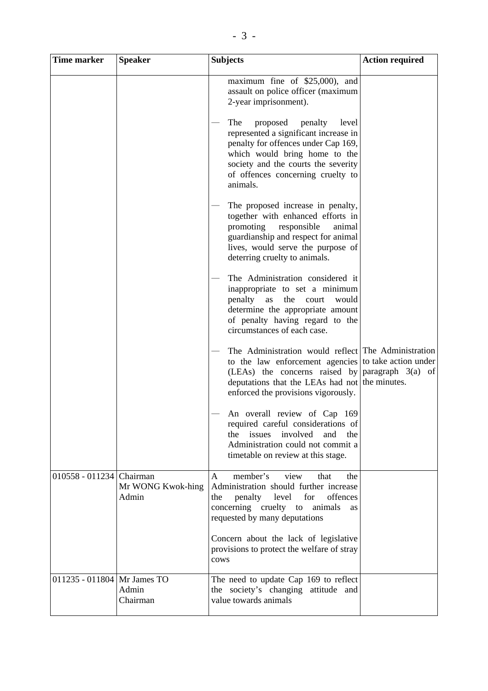| Time marker                 | <b>Speaker</b>             | <b>Subjects</b>                                                                                                                                                                                                                              | <b>Action required</b> |
|-----------------------------|----------------------------|----------------------------------------------------------------------------------------------------------------------------------------------------------------------------------------------------------------------------------------------|------------------------|
|                             |                            | maximum fine of \$25,000), and<br>assault on police officer (maximum<br>2-year imprisonment).                                                                                                                                                |                        |
|                             |                            | The<br>proposed<br>penalty<br>level<br>represented a significant increase in<br>penalty for offences under Cap 169,<br>which would bring home to the<br>society and the courts the severity<br>of offences concerning cruelty to<br>animals. |                        |
|                             |                            | The proposed increase in penalty,<br>together with enhanced efforts in<br>promoting<br>responsible<br>animal<br>guardianship and respect for animal<br>lives, would serve the purpose of<br>deterring cruelty to animals.                    |                        |
|                             |                            | The Administration considered it<br>inappropriate to set a minimum<br>penalty<br>the<br>as<br>would<br>court<br>determine the appropriate amount<br>of penalty having regard to the<br>circumstances of each case.                           |                        |
|                             |                            | The Administration would reflect The Administration<br>to the law enforcement agencies to take action under<br>(LEAs) the concerns raised by<br>deputations that the LEAs had not the minutes.<br>enforced the provisions vigorously.        | paragraph $3(a)$ of    |
|                             |                            | An overall review of Cap 169<br>required careful considerations of<br>issues<br>involved<br>and<br>the<br>the<br>Administration could not commit a<br>timetable on review at this stage.                                                     |                        |
| 010558 - 011234 Chairman    | Mr WONG Kwok-hing<br>Admin | member's<br>A<br>view<br>that<br>the<br>Administration should further increase<br>for<br>offences<br>penalty<br>level<br>the<br>concerning cruelty to<br>animals<br>as<br>requested by many deputations                                      |                        |
|                             |                            | Concern about the lack of legislative<br>provisions to protect the welfare of stray<br>cows                                                                                                                                                  |                        |
| 011235 - 011804 Mr James TO | Admin<br>Chairman          | The need to update Cap 169 to reflect<br>the society's changing attitude and<br>value towards animals                                                                                                                                        |                        |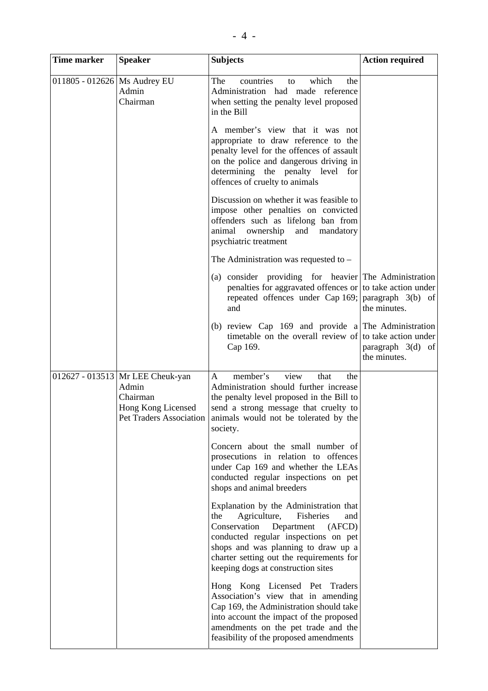| Time marker                    | <b>Speaker</b>                                                                | <b>Subjects</b>                                                                                                                                                                                                                                                                            | <b>Action required</b>              |
|--------------------------------|-------------------------------------------------------------------------------|--------------------------------------------------------------------------------------------------------------------------------------------------------------------------------------------------------------------------------------------------------------------------------------------|-------------------------------------|
| 011805 - 012626   Ms Audrey EU | Admin<br>Chairman                                                             | which<br>The<br>countries<br>the<br>to<br>Administration had made reference<br>when setting the penalty level proposed<br>in the Bill                                                                                                                                                      |                                     |
|                                |                                                                               | A member's view that it was not<br>appropriate to draw reference to the<br>penalty level for the offences of assault<br>on the police and dangerous driving in<br>determining the penalty level for<br>offences of cruelty to animals                                                      |                                     |
|                                |                                                                               | Discussion on whether it was feasible to<br>impose other penalties on convicted<br>offenders such as lifelong ban from<br>animal<br>ownership<br>and mandatory<br>psychiatric treatment                                                                                                    |                                     |
|                                |                                                                               | The Administration was requested to $-$                                                                                                                                                                                                                                                    |                                     |
|                                |                                                                               | (a) consider providing for heavier The Administration<br>penalties for aggravated offences or to take action under<br>repeated offences under Cap $169$ ; paragraph $3(b)$ of<br>and                                                                                                       | the minutes.                        |
|                                |                                                                               | (b) review Cap 169 and provide a The Administration<br>timetable on the overall review of to take action under<br>Cap 169.                                                                                                                                                                 | paragraph $3(d)$ of<br>the minutes. |
|                                | 012627 - 013513   Mr LEE Cheuk-yan<br>Admin<br>Chairman<br>Hong Kong Licensed | member's<br>view<br>that<br>A<br>the<br>Administration should further increase<br>the penalty level proposed in the Bill to<br>send a strong message that cruelty to<br>Pet Traders Association animals would not be tolerated by the<br>society.                                          |                                     |
|                                |                                                                               | Concern about the small number of<br>prosecutions in relation to offences<br>under Cap 169 and whether the LEAs<br>conducted regular inspections on pet<br>shops and animal breeders                                                                                                       |                                     |
|                                |                                                                               | Explanation by the Administration that<br>Agriculture,<br>Fisheries<br>the<br>and<br>Conservation<br>Department<br>(AFCD)<br>conducted regular inspections on pet<br>shops and was planning to draw up a<br>charter setting out the requirements for<br>keeping dogs at construction sites |                                     |
|                                |                                                                               | Hong Kong Licensed Pet Traders<br>Association's view that in amending<br>Cap 169, the Administration should take<br>into account the impact of the proposed<br>amendments on the pet trade and the<br>feasibility of the proposed amendments                                               |                                     |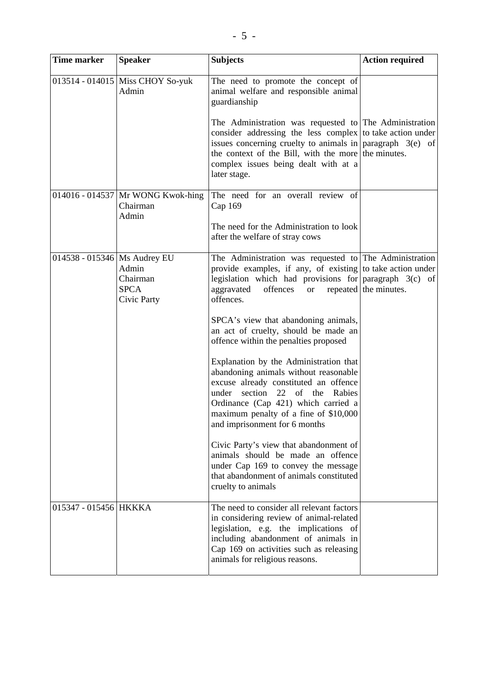| <b>Time marker</b>             | <b>Speaker</b>                                         | <b>Subjects</b>                                                                                                                                                                                                                                                                                                                                                                                                                                                                                                                                                                                                                                                                                                                                                                                                                                 | <b>Action required</b> |
|--------------------------------|--------------------------------------------------------|-------------------------------------------------------------------------------------------------------------------------------------------------------------------------------------------------------------------------------------------------------------------------------------------------------------------------------------------------------------------------------------------------------------------------------------------------------------------------------------------------------------------------------------------------------------------------------------------------------------------------------------------------------------------------------------------------------------------------------------------------------------------------------------------------------------------------------------------------|------------------------|
|                                | 013514 - 014015 Miss CHOY So-yuk<br>Admin              | The need to promote the concept of<br>animal welfare and responsible animal<br>guardianship<br>The Administration was requested to The Administration<br>consider addressing the less complex to take action under<br>issues concerning cruelty to animals in $\vert$ paragraph 3(e) of<br>the context of the Bill, with the more the minutes.<br>complex issues being dealt with at a<br>later stage.                                                                                                                                                                                                                                                                                                                                                                                                                                          |                        |
|                                | 014016 - 014537 Mr WONG Kwok-hing<br>Chairman<br>Admin | The need for an overall review of<br>Cap 169<br>The need for the Administration to look<br>after the welfare of stray cows                                                                                                                                                                                                                                                                                                                                                                                                                                                                                                                                                                                                                                                                                                                      |                        |
| 014538 - 015346   Ms Audrey EU | Admin<br>Chairman<br><b>SPCA</b><br>Civic Party        | The Administration was requested to The Administration<br>provide examples, if any, of existing to take action under<br>legislation which had provisions for paragraph $3(c)$ of<br>aggravated<br>offences<br><b>or</b><br>offences.<br>SPCA's view that abandoning animals,<br>an act of cruelty, should be made an<br>offence within the penalties proposed<br>Explanation by the Administration that<br>abandoning animals without reasonable<br>excuse already constituted an offence<br>under<br>section<br>22<br>of the<br>Rabies<br>Ordinance (Cap 421) which carried a<br>maximum penalty of a fine of \$10,000<br>and imprisonment for 6 months<br>Civic Party's view that abandonment of<br>animals should be made an offence<br>under Cap 169 to convey the message<br>that abandonment of animals constituted<br>cruelty to animals | repeated the minutes.  |
| 015347 - 015456 HKKKA          |                                                        | The need to consider all relevant factors<br>in considering review of animal-related<br>legislation, e.g. the implications of<br>including abandonment of animals in<br>Cap 169 on activities such as releasing<br>animals for religious reasons.                                                                                                                                                                                                                                                                                                                                                                                                                                                                                                                                                                                               |                        |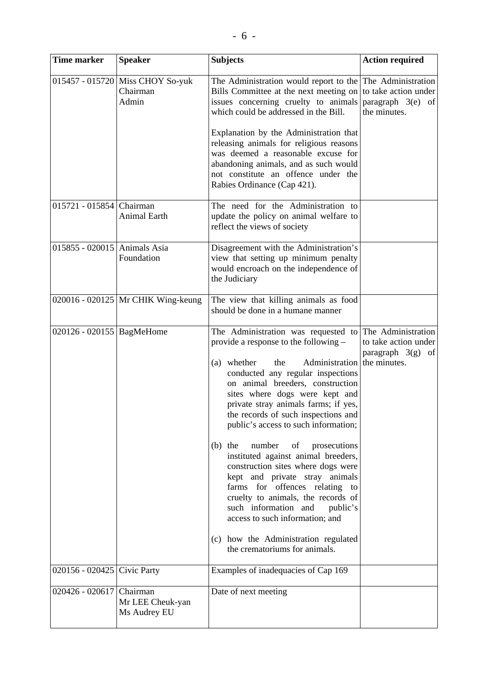| <b>Time marker</b>           | <b>Speaker</b>                                        | <b>Subjects</b>                                                                                                                                                                                                                                                                                                                                                                                                                                                                                                                                                                                                                                                                                                                               | <b>Action required</b>                                                          |
|------------------------------|-------------------------------------------------------|-----------------------------------------------------------------------------------------------------------------------------------------------------------------------------------------------------------------------------------------------------------------------------------------------------------------------------------------------------------------------------------------------------------------------------------------------------------------------------------------------------------------------------------------------------------------------------------------------------------------------------------------------------------------------------------------------------------------------------------------------|---------------------------------------------------------------------------------|
|                              | 015457 - 015720 Miss CHOY So-yuk<br>Chairman<br>Admin | The Administration would report to the<br>Bills Committee at the next meeting on<br>issues concerning cruelty to animals<br>which could be addressed in the Bill.<br>Explanation by the Administration that<br>releasing animals for religious reasons<br>was deemed a reasonable excuse for<br>abandoning animals, and as such would<br>not constitute an offence under the<br>Rabies Ordinance (Cap 421).                                                                                                                                                                                                                                                                                                                                   | The Administration<br>to take action under<br>paragraph 3(e) of<br>the minutes. |
| 015721 - 015854 Chairman     | Animal Earth                                          | The need for the Administration to<br>update the policy on animal welfare to<br>reflect the views of society                                                                                                                                                                                                                                                                                                                                                                                                                                                                                                                                                                                                                                  |                                                                                 |
| 015855 - 020015 Animals Asia | Foundation                                            | Disagreement with the Administration's<br>view that setting up minimum penalty<br>would encroach on the independence of<br>the Judiciary                                                                                                                                                                                                                                                                                                                                                                                                                                                                                                                                                                                                      |                                                                                 |
|                              | 020016 - 020125 Mr CHIK Wing-keung                    | The view that killing animals as food<br>should be done in a humane manner                                                                                                                                                                                                                                                                                                                                                                                                                                                                                                                                                                                                                                                                    |                                                                                 |
| 020126 - 020155   BagMeHome  |                                                       | The Administration was requested to<br>provide a response to the following -<br>whether<br>Administration<br>the<br>(a)<br>conducted any regular inspections<br>on animal breeders, construction<br>sites where dogs were kept and<br>private stray animals farms; if yes,<br>the records of such inspections and<br>public's access to such information;<br>number<br>of<br>$(b)$ the<br>prosecutions<br>instituted against animal breeders,<br>construction sites where dogs were<br>kept and private stray animals<br>farms for offences relating to<br>cruelty to animals, the records of<br>such information and<br>public's<br>access to such information; and<br>(c) how the Administration regulated<br>the crematoriums for animals. | The Administration<br>to take action under<br>paragraph 3(g) of<br>the minutes. |
| 020156 - 020425 Civic Party  |                                                       | Examples of inadequacies of Cap 169                                                                                                                                                                                                                                                                                                                                                                                                                                                                                                                                                                                                                                                                                                           |                                                                                 |
| 020426 - 020617 Chairman     | Mr LEE Cheuk-yan<br>Ms Audrey EU                      | Date of next meeting                                                                                                                                                                                                                                                                                                                                                                                                                                                                                                                                                                                                                                                                                                                          |                                                                                 |